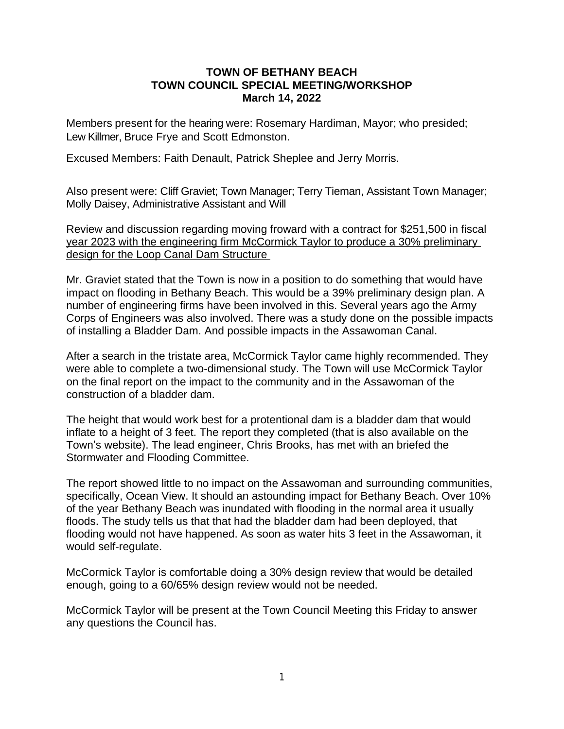## **TOWN OF BETHANY BEACH TOWN COUNCIL SPECIAL MEETING/WORKSHOP March 14, 2022**

Members present for the hearing were: Rosemary Hardiman, Mayor; who presided; Lew Killmer, Bruce Frye and Scott Edmonston.

Excused Members: Faith Denault, Patrick Sheplee and Jerry Morris.

Also present were: Cliff Graviet; Town Manager; Terry Tieman, Assistant Town Manager; Molly Daisey, Administrative Assistant and Will

Review and discussion regarding moving froward with a contract for \$251,500 in fiscal year 2023 with the engineering firm McCormick Taylor to produce a 30% preliminary design for the Loop Canal Dam Structure

Mr. Graviet stated that the Town is now in a position to do something that would have impact on flooding in Bethany Beach. This would be a 39% preliminary design plan. A number of engineering firms have been involved in this. Several years ago the Army Corps of Engineers was also involved. There was a study done on the possible impacts of installing a Bladder Dam. And possible impacts in the Assawoman Canal.

After a search in the tristate area, McCormick Taylor came highly recommended. They were able to complete a two-dimensional study. The Town will use McCormick Taylor on the final report on the impact to the community and in the Assawoman of the construction of a bladder dam.

The height that would work best for a protentional dam is a bladder dam that would inflate to a height of 3 feet. The report they completed (that is also available on the Town's website). The lead engineer, Chris Brooks, has met with an briefed the Stormwater and Flooding Committee.

The report showed little to no impact on the Assawoman and surrounding communities, specifically, Ocean View. It should an astounding impact for Bethany Beach. Over 10% of the year Bethany Beach was inundated with flooding in the normal area it usually floods. The study tells us that that had the bladder dam had been deployed, that flooding would not have happened. As soon as water hits 3 feet in the Assawoman, it would self-regulate.

McCormick Taylor is comfortable doing a 30% design review that would be detailed enough, going to a 60/65% design review would not be needed.

McCormick Taylor will be present at the Town Council Meeting this Friday to answer any questions the Council has.